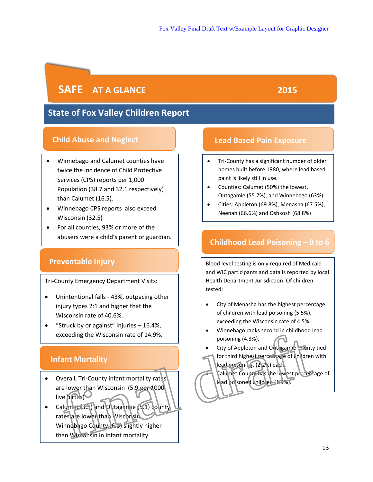# **SAFE** AT A GLANCE 2015

# **State of Fox Valley Children Report**

# **Child Abuse and Neglect**

- x Winnebago and Calumet counties have twice the incidence of Child Protective Services (CPS) reports per 1,000 Population (38.7 and 32.1 respectively) than Calumet (16.5).
- Winnebago CPS reports also exceed Wisconsin (32.5)
- For all counties, 93% or more of the abusers were a child's parent or guardian.

# **Preventable Injury**

Tri-County Emergency Department Visits:

- Unintentional falls 43%, outpacing other injury types 2:1 and higher that the Wisconsin rate of 40.6%.
- **•** "Struck by or against" injuries  $-16.4\%$ , exceeding the Wisconsin rate of 14.9%.

# **Infant Mortality**

- Overall, Tri-County infant mortality rates are lower than Wisconsin (5.9 per 1000 live births)
- Calumet (3.5) and Outagamie (5.1) county rates are lowen than Wisconsin Winnebago County (6.0) slightly higher than Wisconsin in infant mortality. France Country infant mortality<br>
The poisoning (4.3%).<br>
The city of Appleton and Outganie County<br>
for third highest percent are of children<br>
verall, Tri-County infant mortality rates<br>
verall, Tri-County infant mortality ra

# **Lead Based Pain Exposure**

- Tri-County has a significant number of older homes built before 1980, where lead based paint is likely still in use.
- Counties: Calumet (50%) the lowest, Outagamie (55.7%), and Winnebago (63%)
- Cities: Appleton (69.8%), Menasha (67.5%), Neenah (66.6%) and Oshkosh (68.8%)

# **Childhood Lead Poisoning – 0 to 6**

Blood level testing is only required of Medicaid and WIC participants and data is reported by local Health Department Jurisdiction. Of children tested:

- City of Menasha has the highest percentage of children with lead poisoning (5.5%), exceeding the Wisconsin rate of 4.5%.
- Winnebago ranks second in childhood lead poisoning (4.3%).
- City of Appleton and Outagamie County tied for third highest percentage of children with

lead poisoning, (2.2%) each. Calumet County has the lowest percentage of lead poisoned children (1.9%).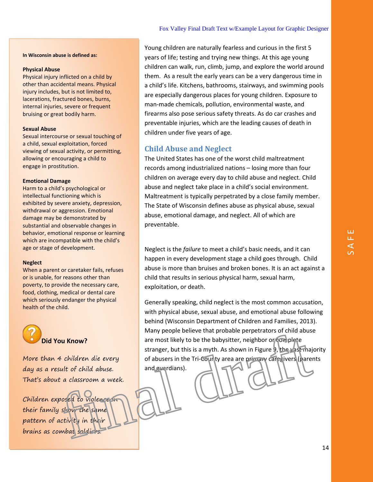**In Wisconsin abuse is defined as:** 

#### **Physical Abuse**

Physical injury inflicted on a child by other than accidental means. Physical injury includes, but is not limited to, lacerations, fractured bones, burns, internal injuries, severe or frequent bruising or great bodily harm.

## **Sexual Abuse**

Sexual intercourse or sexual touching of a child, sexual exploitation, forced viewing of sexual activity, or permitting, allowing or encouraging a child to engage in prostitution.

#### **Emotional Damage**

Harm to a child's psychological or intellectual functioning which is exhibited by severe anxiety, depression, withdrawal or aggression. Emotional damage may be demonstrated by substantial and observable changes in behavior, emotional response or learning which are incompatible with the child's age or stage of development.

## **Neglect**

When a parent or caretaker fails, refuses or is unable, for reasons other than poverty, to provide the necessary care, food, clothing, medical or dental care which seriously endanger the physical health of the child.



More than 4 children die every day as a result of child abuse. That's about a classroom a week.

Children exposed to violence in their family show the same pattern of activity in their brains as combat soldiers.

Young children are naturally fearless and curious in the first 5 years of life; testing and trying new things. At this age young children can walk, run, climb, jump, and explore the world around them. As a result the early years can be a very dangerous time in a child's life. Kitchens, bathrooms, stairways, and swimming pools are especially dangerous places for young children. Exposure to man-made chemicals, pollution, environmental waste, and firearms also pose serious safety threats. As do car crashes and preventable injuries, which are the leading causes of death in children under five years of age.

## **Child Abuse and Neglect**

The United States has one of the worst child maltreatment records among industrialized nations – losing more than four children on average every day to child abuse and neglect. Child abuse and neglect take place in a child's social environment. Maltreatment is typically perpetrated by a close family member. The State of Wisconsin defines abuse as physical abuse, sexual abuse, emotional damage, and neglect. All of which are preventable.

Neglect is the *failure* to meet a child's basic needs, and it can happen in every development stage a child goes through. Child abuse is more than bruises and broken bones. It is an act against a child that results in serious physical harm, sexual harm, exploitation, or death.

Generally speaking, child neglect is the most common accusation, with physical abuse, sexual abuse, and emotional abuse following behind (Wisconsin Department of Children and Families, 2013). Many people believe that probable perpetrators of child abuse are most likely to be the babysitter, neighbor or complete stranger, but this is a myth. As shown in Figure 9, the vast majority of abusers in the Tri-County area are primary caregivers (parents and guardians). bu Know?<br>
are most likely to be the babysitter, neighbor or complete<br>
the video of abusers in the Tri-County area are primary called ivers (hare<br>
the video of abuses in the Tri-County area are primary called ivers (hare<br>
t